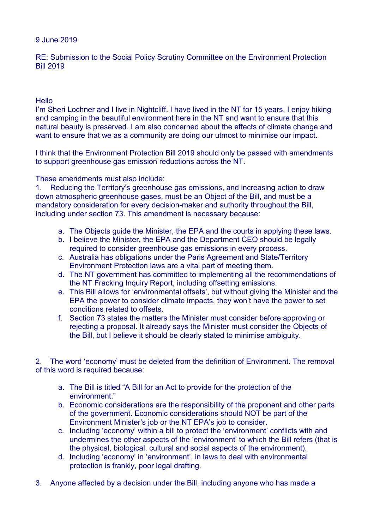## 9 June 2019

RE: Submission to the Social Policy Scrutiny Committee on the Environment Protection Bill 2019

## **Hello**

I'm Sheri Lochner and I live in Nightcliff. I have lived in the NT for 15 years. I enjoy hiking and camping in the beautiful environment here in the NT and want to ensure that this natural beauty is preserved. I am also concerned about the effects of climate change and want to ensure that we as a community are doing our utmost to minimise our impact.

I think that the Environment Protection Bill 2019 should only be passed with amendments to support greenhouse gas emission reductions across the NT.

These amendments must also include:

1. Reducing the Territory's greenhouse gas emissions, and increasing action to draw down atmospheric greenhouse gases, must be an Object of the Bill, and must be a mandatory consideration for every decision-maker and authority throughout the Bill, including under section 73. This amendment is necessary because:

- a. The Objects guide the Minister, the EPA and the courts in applying these laws.
- b. I believe the Minister, the EPA and the Department CEO should be legally required to consider greenhouse gas emissions in every process.
- c. Australia has obligations under the Paris Agreement and State/Territory Environment Protection laws are a vital part of meeting them.
- d. The NT government has committed to implementing all the recommendations of the NT Fracking Inquiry Report, including offsetting emissions.
- e. This Bill allows for 'environmental offsets', but without giving the Minister and the EPA the power to consider climate impacts, they won't have the power to set conditions related to offsets.
- f. Section 73 states the matters the Minister must consider before approving or rejecting a proposal. It already says the Minister must consider the Objects of the Bill, but I believe it should be clearly stated to minimise ambiguity.

2. The word 'economy' must be deleted from the definition of Environment. The removal of this word is required because:

- a. The Bill is titled "A Bill for an Act to provide for the protection of the environment."
- b. Economic considerations are the responsibility of the proponent and other parts of the government. Economic considerations should NOT be part of the Environment Minister's job or the NT EPA's job to consider.
- c. Including 'economy' within a bill to protect the 'environment' conflicts with and undermines the other aspects of the 'environment' to which the Bill refers (that is the physical, biological, cultural and social aspects of the environment).
- d. Including 'economy' in 'environment', in laws to deal with environmental protection is frankly, poor legal drafting.
- 3. Anyone affected by a decision under the Bill, including anyone who has made a